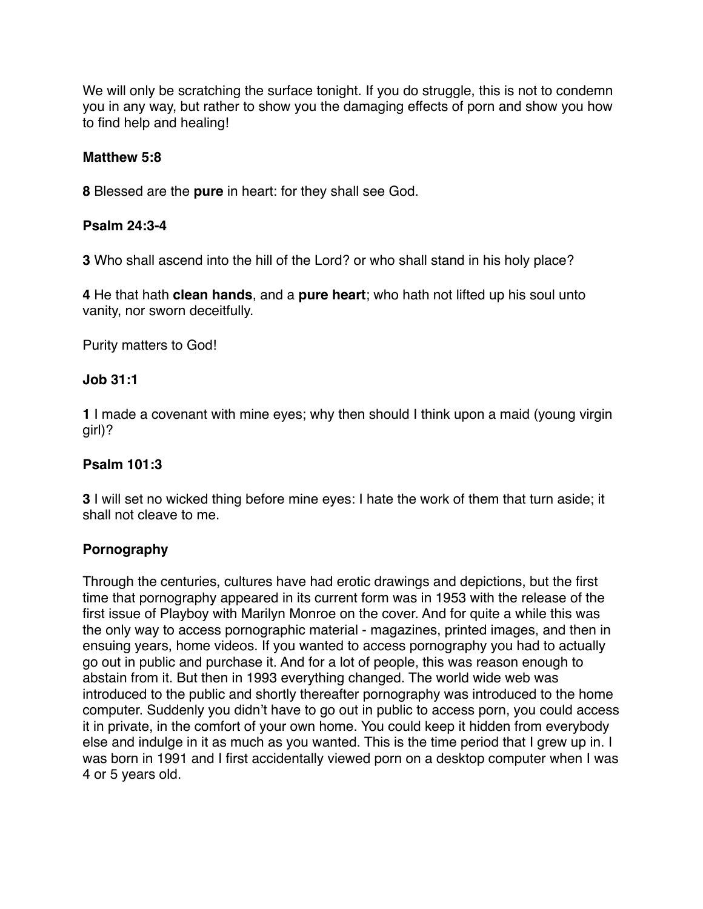We will only be scratching the surface tonight. If you do struggle, this is not to condemn you in any way, but rather to show you the damaging effects of porn and show you how to find help and healing!

## **Matthew 5:8**

**8** Blessed are the **pure** in heart: for they shall see God.

## **Psalm 24:3-4**

**3** Who shall ascend into the hill of the Lord? or who shall stand in his holy place?

**4** He that hath **clean hands**, and a **pure heart**; who hath not lifted up his soul unto vanity, nor sworn deceitfully.

Purity matters to God!

## **Job 31:1**

**1** I made a covenant with mine eyes; why then should I think upon a maid (young virgin girl)?

# **Psalm 101:3**

**3** I will set no wicked thing before mine eyes: I hate the work of them that turn aside; it shall not cleave to me.

# **Pornography**

Through the centuries, cultures have had erotic drawings and depictions, but the first time that pornography appeared in its current form was in 1953 with the release of the first issue of Playboy with Marilyn Monroe on the cover. And for quite a while this was the only way to access pornographic material - magazines, printed images, and then in ensuing years, home videos. If you wanted to access pornography you had to actually go out in public and purchase it. And for a lot of people, this was reason enough to abstain from it. But then in 1993 everything changed. The world wide web was introduced to the public and shortly thereafter pornography was introduced to the home computer. Suddenly you didn't have to go out in public to access porn, you could access it in private, in the comfort of your own home. You could keep it hidden from everybody else and indulge in it as much as you wanted. This is the time period that I grew up in. I was born in 1991 and I first accidentally viewed porn on a desktop computer when I was 4 or 5 years old.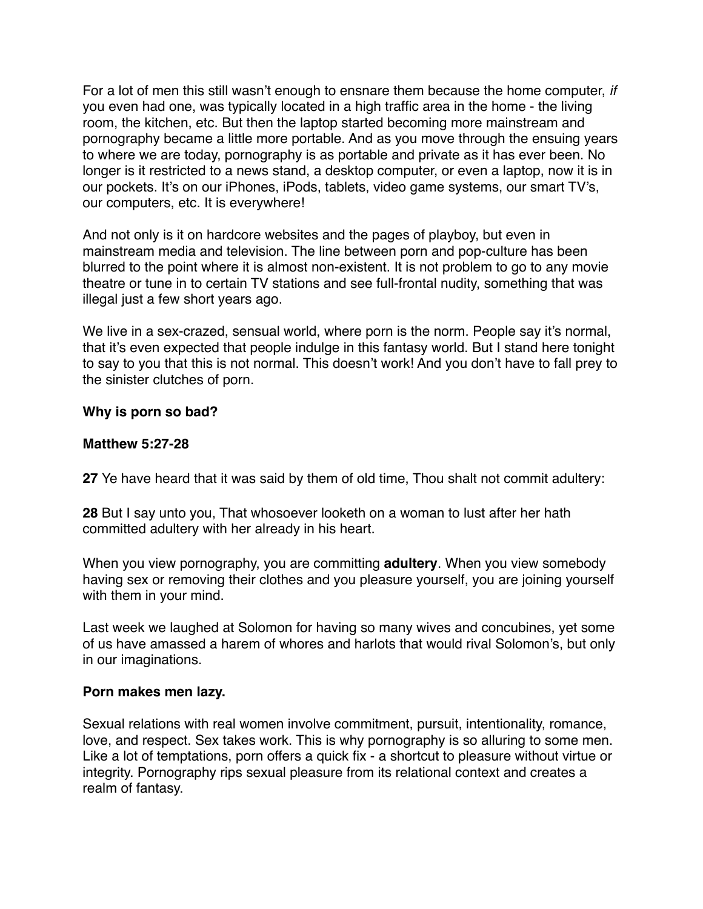For a lot of men this still wasn't enough to ensnare them because the home computer, *if* you even had one, was typically located in a high traffic area in the home - the living room, the kitchen, etc. But then the laptop started becoming more mainstream and pornography became a little more portable. And as you move through the ensuing years to where we are today, pornography is as portable and private as it has ever been. No longer is it restricted to a news stand, a desktop computer, or even a laptop, now it is in our pockets. It's on our iPhones, iPods, tablets, video game systems, our smart TV's, our computers, etc. It is everywhere!

And not only is it on hardcore websites and the pages of playboy, but even in mainstream media and television. The line between porn and pop-culture has been blurred to the point where it is almost non-existent. It is not problem to go to any movie theatre or tune in to certain TV stations and see full-frontal nudity, something that was illegal just a few short years ago.

We live in a sex-crazed, sensual world, where porn is the norm. People say it's normal, that it's even expected that people indulge in this fantasy world. But I stand here tonight to say to you that this is not normal. This doesn't work! And you don't have to fall prey to the sinister clutches of porn.

## **Why is porn so bad?**

## **Matthew 5:27-28**

**27** Ye have heard that it was said by them of old time, Thou shalt not commit adultery:

**28** But I say unto you, That whosoever looketh on a woman to lust after her hath committed adultery with her already in his heart.

When you view pornography, you are committing **adultery**. When you view somebody having sex or removing their clothes and you pleasure yourself, you are joining yourself with them in your mind.

Last week we laughed at Solomon for having so many wives and concubines, yet some of us have amassed a harem of whores and harlots that would rival Solomon's, but only in our imaginations.

## **Porn makes men lazy.**

Sexual relations with real women involve commitment, pursuit, intentionality, romance, love, and respect. Sex takes work. This is why pornography is so alluring to some men. Like a lot of temptations, porn offers a quick fix - a shortcut to pleasure without virtue or integrity. Pornography rips sexual pleasure from its relational context and creates a realm of fantasy.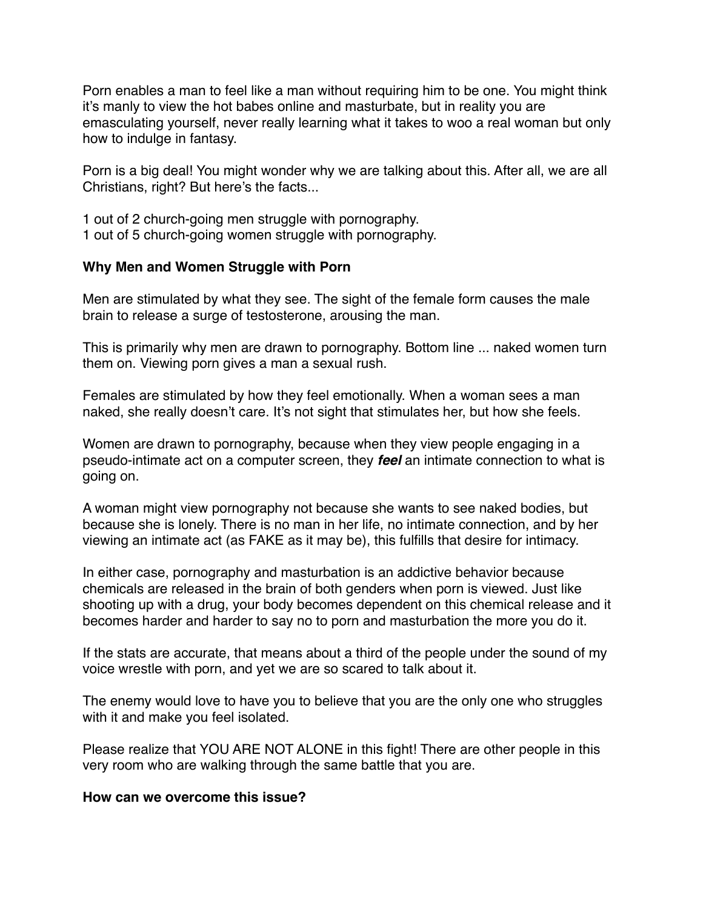Porn enables a man to feel like a man without requiring him to be one. You might think it's manly to view the hot babes online and masturbate, but in reality you are emasculating yourself, never really learning what it takes to woo a real woman but only how to indulge in fantasy.

Porn is a big deal! You might wonder why we are talking about this. After all, we are all Christians, right? But here's the facts...

- 1 out of 2 church-going men struggle with pornography.
- 1 out of 5 church-going women struggle with pornography.

#### **Why Men and Women Struggle with Porn**

Men are stimulated by what they see. The sight of the female form causes the male brain to release a surge of testosterone, arousing the man.

This is primarily why men are drawn to pornography. Bottom line ... naked women turn them on. Viewing porn gives a man a sexual rush.

Females are stimulated by how they feel emotionally. When a woman sees a man naked, she really doesn't care. It's not sight that stimulates her, but how she feels.

Women are drawn to pornography, because when they view people engaging in a pseudo-intimate act on a computer screen, they *feel* an intimate connection to what is going on.

A woman might view pornography not because she wants to see naked bodies, but because she is lonely. There is no man in her life, no intimate connection, and by her viewing an intimate act (as FAKE as it may be), this fulfills that desire for intimacy.

In either case, pornography and masturbation is an addictive behavior because chemicals are released in the brain of both genders when porn is viewed. Just like shooting up with a drug, your body becomes dependent on this chemical release and it becomes harder and harder to say no to porn and masturbation the more you do it.

If the stats are accurate, that means about a third of the people under the sound of my voice wrestle with porn, and yet we are so scared to talk about it.

The enemy would love to have you to believe that you are the only one who struggles with it and make you feel isolated.

Please realize that YOU ARE NOT ALONE in this fight! There are other people in this very room who are walking through the same battle that you are.

#### **How can we overcome this issue?**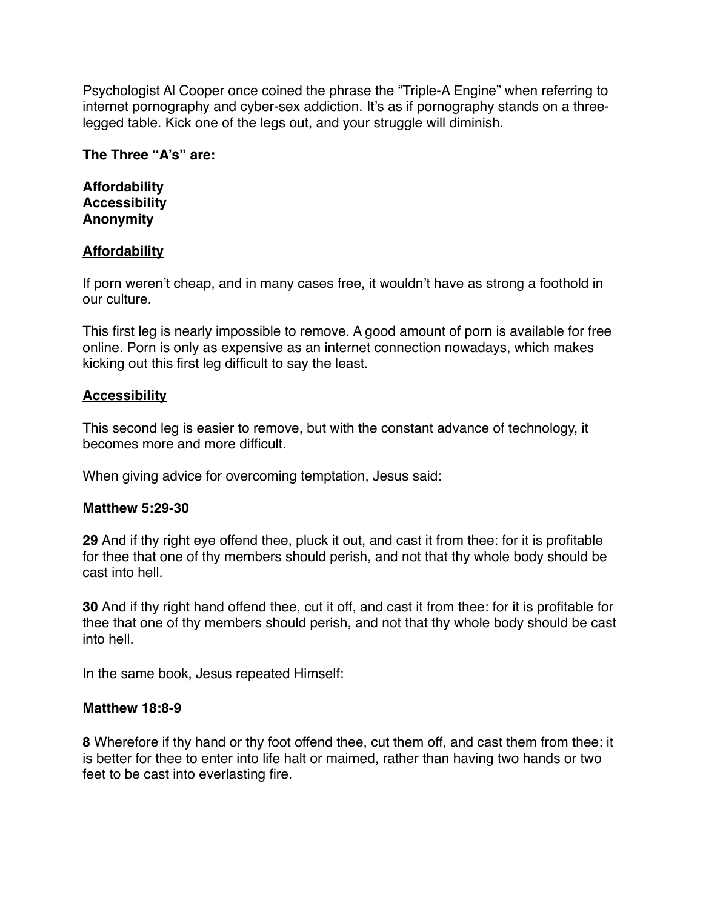Psychologist Al Cooper once coined the phrase the "Triple-A Engine" when referring to internet pornography and cyber-sex addiction. It's as if pornography stands on a threelegged table. Kick one of the legs out, and your struggle will diminish.

**The Three "A's" are:**

## **Affordability Accessibility Anonymity**

## **Affordability**

If porn weren't cheap, and in many cases free, it wouldn't have as strong a foothold in our culture.

This first leg is nearly impossible to remove. A good amount of porn is available for free online. Porn is only as expensive as an internet connection nowadays, which makes kicking out this first leg difficult to say the least.

## **Accessibility**

This second leg is easier to remove, but with the constant advance of technology, it becomes more and more difficult.

When giving advice for overcoming temptation, Jesus said:

## **Matthew 5:29-30**

**29** And if thy right eye offend thee, pluck it out, and cast it from thee: for it is profitable for thee that one of thy members should perish, and not that thy whole body should be cast into hell.

**30** And if thy right hand offend thee, cut it off, and cast it from thee: for it is profitable for thee that one of thy members should perish, and not that thy whole body should be cast into hell.

In the same book, Jesus repeated Himself:

## **Matthew 18:8-9**

**8** Wherefore if thy hand or thy foot offend thee, cut them off, and cast them from thee: it is better for thee to enter into life halt or maimed, rather than having two hands or two feet to be cast into everlasting fire.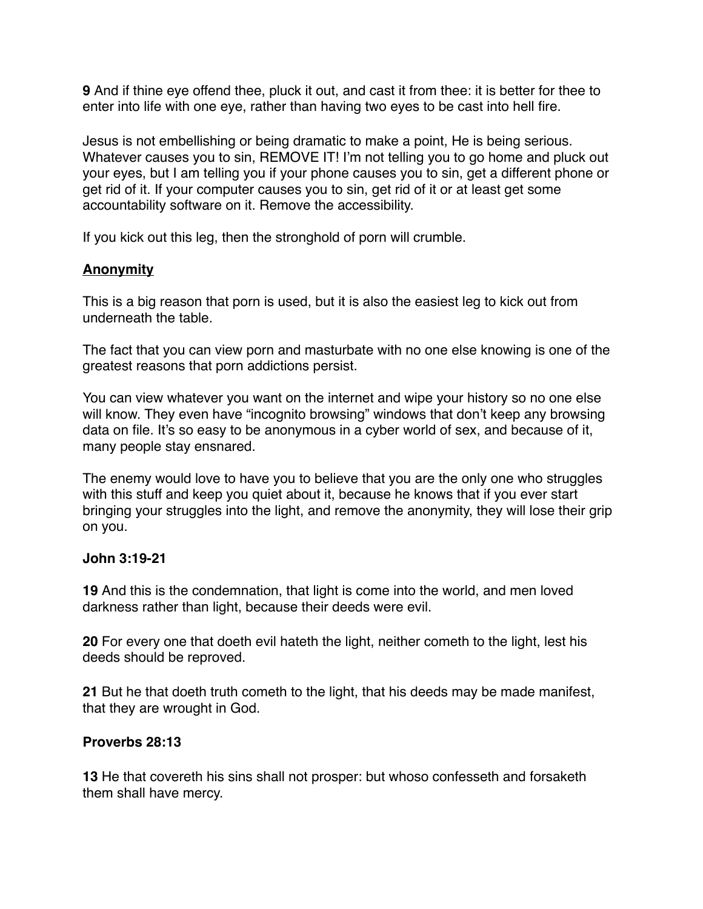**9** And if thine eye offend thee, pluck it out, and cast it from thee: it is better for thee to enter into life with one eye, rather than having two eyes to be cast into hell fire.

Jesus is not embellishing or being dramatic to make a point, He is being serious. Whatever causes you to sin, REMOVE IT! I'm not telling you to go home and pluck out your eyes, but I am telling you if your phone causes you to sin, get a different phone or get rid of it. If your computer causes you to sin, get rid of it or at least get some accountability software on it. Remove the accessibility.

If you kick out this leg, then the stronghold of porn will crumble.

## **Anonymity**

This is a big reason that porn is used, but it is also the easiest leg to kick out from underneath the table.

The fact that you can view porn and masturbate with no one else knowing is one of the greatest reasons that porn addictions persist.

You can view whatever you want on the internet and wipe your history so no one else will know. They even have "incognito browsing" windows that don't keep any browsing data on file. It's so easy to be anonymous in a cyber world of sex, and because of it, many people stay ensnared.

The enemy would love to have you to believe that you are the only one who struggles with this stuff and keep you quiet about it, because he knows that if you ever start bringing your struggles into the light, and remove the anonymity, they will lose their grip on you.

## **John 3:19-21**

**19** And this is the condemnation, that light is come into the world, and men loved darkness rather than light, because their deeds were evil.

**20** For every one that doeth evil hateth the light, neither cometh to the light, lest his deeds should be reproved.

**21** But he that doeth truth cometh to the light, that his deeds may be made manifest, that they are wrought in God.

## **Proverbs 28:13**

**13** He that covereth his sins shall not prosper: but whoso confesseth and forsaketh them shall have mercy.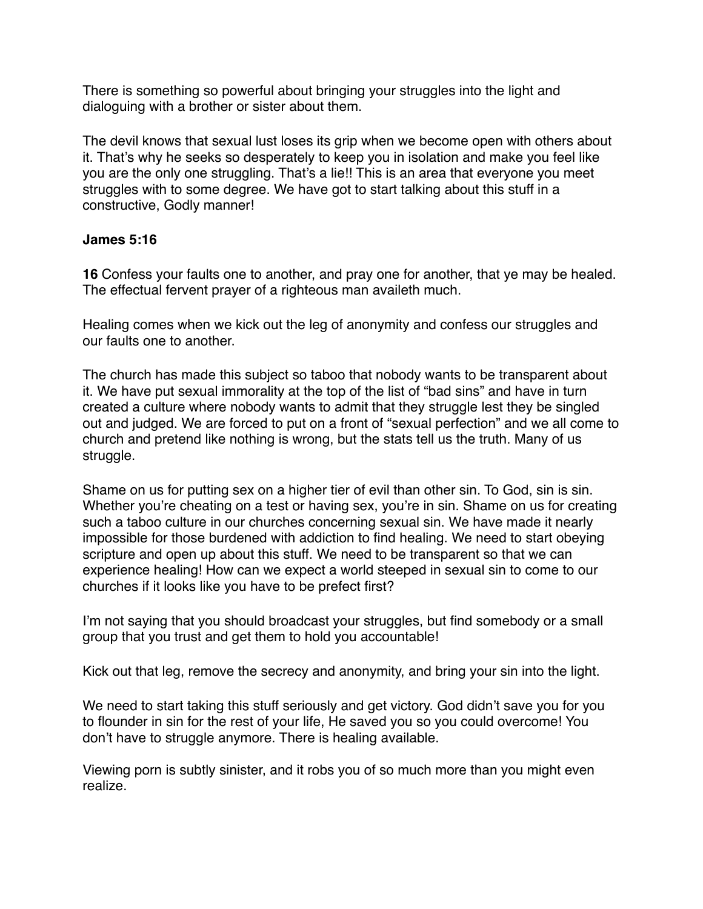There is something so powerful about bringing your struggles into the light and dialoguing with a brother or sister about them.

The devil knows that sexual lust loses its grip when we become open with others about it. That's why he seeks so desperately to keep you in isolation and make you feel like you are the only one struggling. That's a lie!! This is an area that everyone you meet struggles with to some degree. We have got to start talking about this stuff in a constructive, Godly manner!

## **James 5:16**

**16** Confess your faults one to another, and pray one for another, that ye may be healed. The effectual fervent prayer of a righteous man availeth much.

Healing comes when we kick out the leg of anonymity and confess our struggles and our faults one to another.

The church has made this subject so taboo that nobody wants to be transparent about it. We have put sexual immorality at the top of the list of "bad sins" and have in turn created a culture where nobody wants to admit that they struggle lest they be singled out and judged. We are forced to put on a front of "sexual perfection" and we all come to church and pretend like nothing is wrong, but the stats tell us the truth. Many of us struggle.

Shame on us for putting sex on a higher tier of evil than other sin. To God, sin is sin. Whether you're cheating on a test or having sex, you're in sin. Shame on us for creating such a taboo culture in our churches concerning sexual sin. We have made it nearly impossible for those burdened with addiction to find healing. We need to start obeying scripture and open up about this stuff. We need to be transparent so that we can experience healing! How can we expect a world steeped in sexual sin to come to our churches if it looks like you have to be prefect first?

I'm not saying that you should broadcast your struggles, but find somebody or a small group that you trust and get them to hold you accountable!

Kick out that leg, remove the secrecy and anonymity, and bring your sin into the light.

We need to start taking this stuff seriously and get victory. God didn't save you for you to flounder in sin for the rest of your life, He saved you so you could overcome! You don't have to struggle anymore. There is healing available.

Viewing porn is subtly sinister, and it robs you of so much more than you might even realize.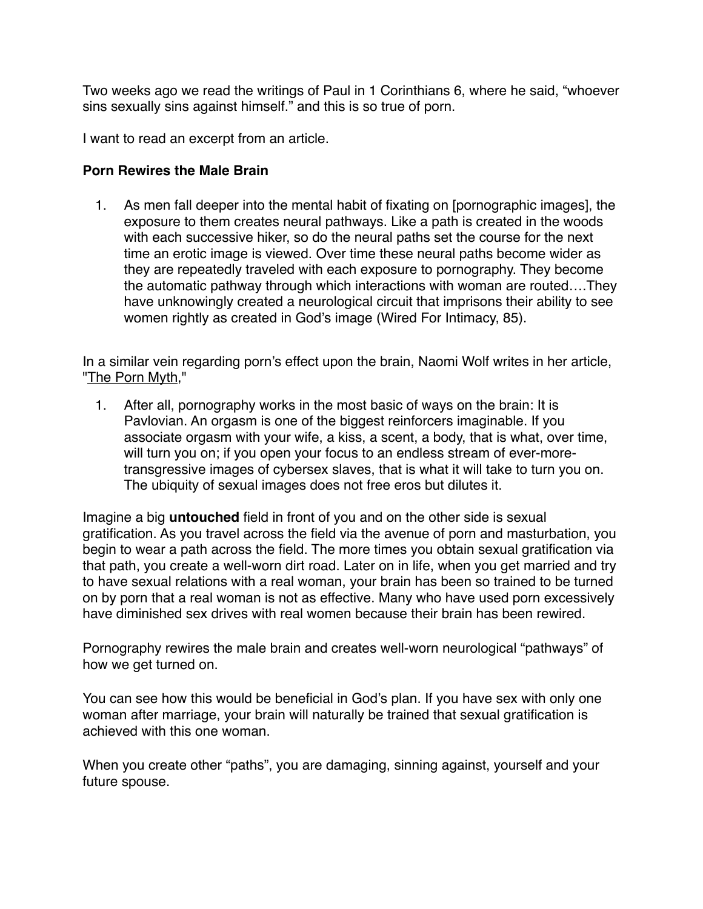Two weeks ago we read the writings of Paul in 1 Corinthians 6, where he said, "whoever sins sexually sins against himself." and this is so true of porn.

I want to read an excerpt from an article.

## **Porn Rewires the Male Brain**

1. As men fall deeper into the mental habit of fixating on [pornographic images], the exposure to them creates neural pathways. Like a path is created in the woods with each successive hiker, so do the neural paths set the course for the next time an erotic image is viewed. Over time these neural paths become wider as they are repeatedly traveled with each exposure to pornography. They become the automatic pathway through which interactions with woman are routed….They have unknowingly created a neurological circuit that imprisons their ability to see women rightly as created in God's image (Wired For Intimacy, 85).

In a similar vein regarding porn's effect upon the brain, Naomi Wolf writes in her article, ["The Porn Myth,](http://nymag.com/nymetro/news/trends/n_9437/)"

1. After all, pornography works in the most basic of ways on the brain: It is Pavlovian. An orgasm is one of the biggest reinforcers imaginable. If you associate orgasm with your wife, a kiss, a scent, a body, that is what, over time, will turn you on; if you open your focus to an endless stream of ever-moretransgressive images of cybersex slaves, that is what it will take to turn you on. The ubiquity of sexual images does not free eros but dilutes it.

Imagine a big **untouched** field in front of you and on the other side is sexual gratification. As you travel across the field via the avenue of porn and masturbation, you begin to wear a path across the field. The more times you obtain sexual gratification via that path, you create a well-worn dirt road. Later on in life, when you get married and try to have sexual relations with a real woman, your brain has been so trained to be turned on by porn that a real woman is not as effective. Many who have used porn excessively have diminished sex drives with real women because their brain has been rewired.

Pornography rewires the male brain and creates well-worn neurological "pathways" of how we get turned on.

You can see how this would be beneficial in God's plan. If you have sex with only one woman after marriage, your brain will naturally be trained that sexual gratification is achieved with this one woman.

When you create other "paths", you are damaging, sinning against, yourself and your future spouse.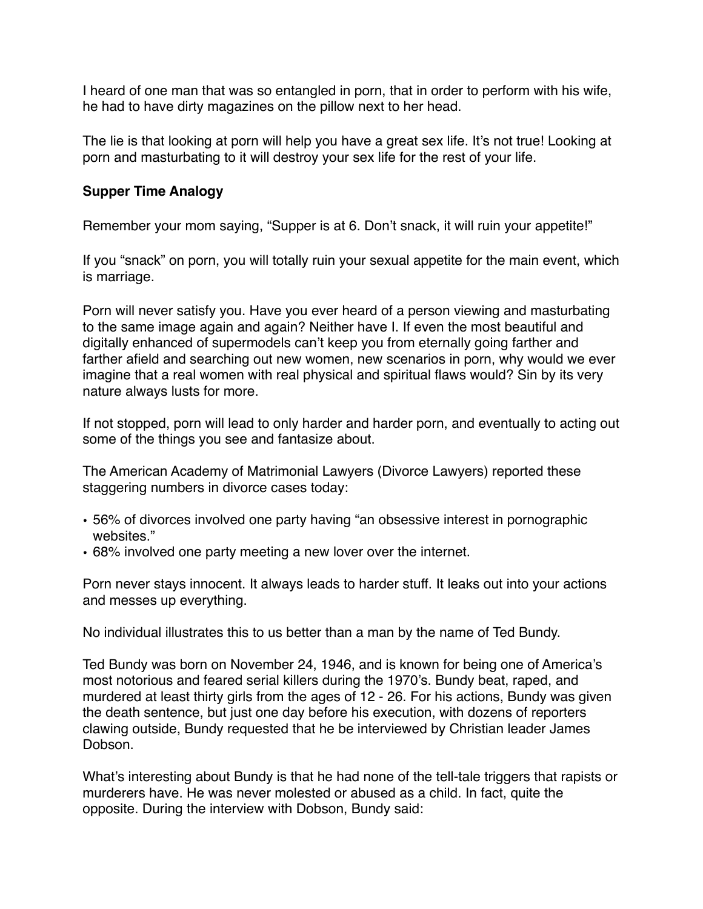I heard of one man that was so entangled in porn, that in order to perform with his wife, he had to have dirty magazines on the pillow next to her head.

The lie is that looking at porn will help you have a great sex life. It's not true! Looking at porn and masturbating to it will destroy your sex life for the rest of your life.

## **Supper Time Analogy**

Remember your mom saying, "Supper is at 6. Don't snack, it will ruin your appetite!"

If you "snack" on porn, you will totally ruin your sexual appetite for the main event, which is marriage.

Porn will never satisfy you. Have you ever heard of a person viewing and masturbating to the same image again and again? Neither have I. If even the most beautiful and digitally enhanced of supermodels can't keep you from eternally going farther and farther afield and searching out new women, new scenarios in porn, why would we ever imagine that a real women with real physical and spiritual flaws would? Sin by its very nature always lusts for more.

If not stopped, porn will lead to only harder and harder porn, and eventually to acting out some of the things you see and fantasize about.

The American Academy of Matrimonial Lawyers (Divorce Lawyers) reported these staggering numbers in divorce cases today:

- 56% of divorces involved one party having "an obsessive interest in pornographic websites."
- 68% involved one party meeting a new lover over the internet.

Porn never stays innocent. It always leads to harder stuff. It leaks out into your actions and messes up everything.

No individual illustrates this to us better than a man by the name of Ted Bundy.

Ted Bundy was born on November 24, 1946, and is known for being one of America's most notorious and feared serial killers during the 1970's. Bundy beat, raped, and murdered at least thirty girls from the ages of 12 - 26. For his actions, Bundy was given the death sentence, but just one day before his execution, with dozens of reporters clawing outside, Bundy requested that he be interviewed by Christian leader James Dobson.

What's interesting about Bundy is that he had none of the tell-tale triggers that rapists or murderers have. He was never molested or abused as a child. In fact, quite the opposite. During the interview with Dobson, Bundy said: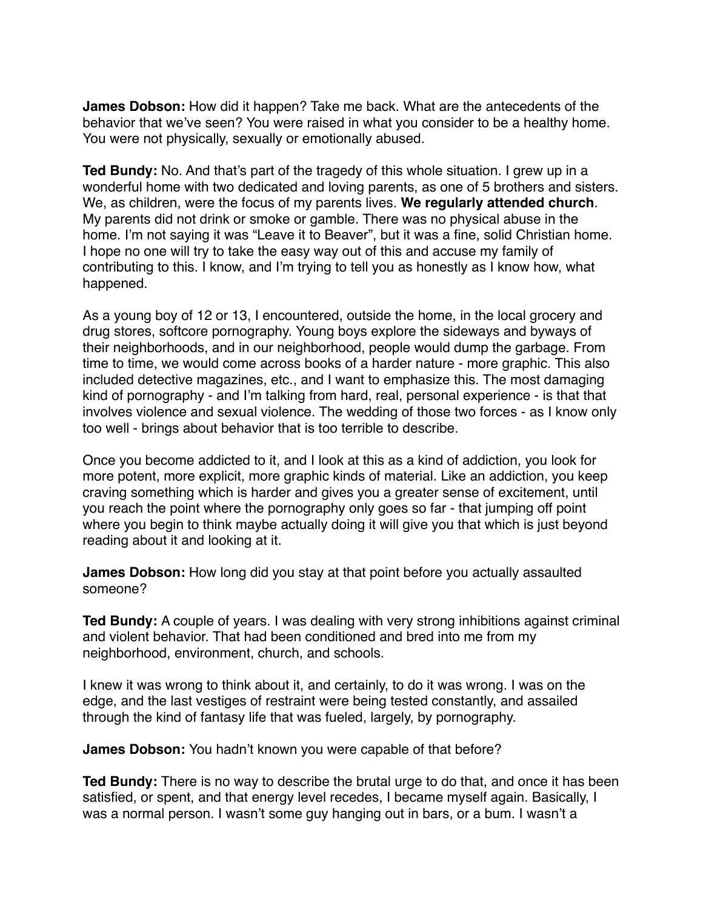**James Dobson:** How did it happen? Take me back. What are the antecedents of the behavior that we've seen? You were raised in what you consider to be a healthy home. You were not physically, sexually or emotionally abused.

**Ted Bundy:** No. And that's part of the tragedy of this whole situation. I grew up in a wonderful home with two dedicated and loving parents, as one of 5 brothers and sisters. We, as children, were the focus of my parents lives. **We regularly attended church**. My parents did not drink or smoke or gamble. There was no physical abuse in the home. I'm not saying it was "Leave it to Beaver", but it was a fine, solid Christian home. I hope no one will try to take the easy way out of this and accuse my family of contributing to this. I know, and I'm trying to tell you as honestly as I know how, what happened.

As a young boy of 12 or 13, I encountered, outside the home, in the local grocery and drug stores, softcore pornography. Young boys explore the sideways and byways of their neighborhoods, and in our neighborhood, people would dump the garbage. From time to time, we would come across books of a harder nature - more graphic. This also included detective magazines, etc., and I want to emphasize this. The most damaging kind of pornography - and I'm talking from hard, real, personal experience - is that that involves violence and sexual violence. The wedding of those two forces - as I know only too well - brings about behavior that is too terrible to describe.

Once you become addicted to it, and I look at this as a kind of addiction, you look for more potent, more explicit, more graphic kinds of material. Like an addiction, you keep craving something which is harder and gives you a greater sense of excitement, until you reach the point where the pornography only goes so far - that jumping off point where you begin to think maybe actually doing it will give you that which is just beyond reading about it and looking at it.

**James Dobson:** How long did you stay at that point before you actually assaulted someone?

**Ted Bundy:** A couple of years. I was dealing with very strong inhibitions against criminal and violent behavior. That had been conditioned and bred into me from my neighborhood, environment, church, and schools.

I knew it was wrong to think about it, and certainly, to do it was wrong. I was on the edge, and the last vestiges of restraint were being tested constantly, and assailed through the kind of fantasy life that was fueled, largely, by pornography.

**James Dobson:** You hadn't known you were capable of that before?

**Ted Bundy:** There is no way to describe the brutal urge to do that, and once it has been satisfied, or spent, and that energy level recedes, I became myself again. Basically, I was a normal person. I wasn't some guy hanging out in bars, or a bum. I wasn't a